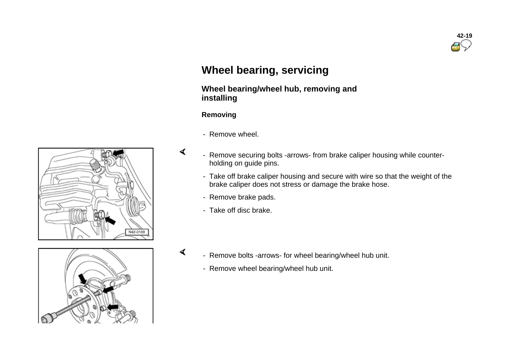

# **Wheel bearing, servicing**

# **Wheel bearing/wheel hub, removing and installing**

#### **Removing**

∢

∢

- Remove wheel.
- Remove securing bolts -arrows- from brake caliper housing while counterholding on guide pins.
- Take off brake caliper housing and secure with wire so that the weight of the brake caliper does not stress or damage the brake hose.
- Remove brake pads.
- Take off disc brake.



- Remove bolts -arrows- for wheel bearing/wheel hub unit.
	- Remove wheel bearing/wheel hub unit.

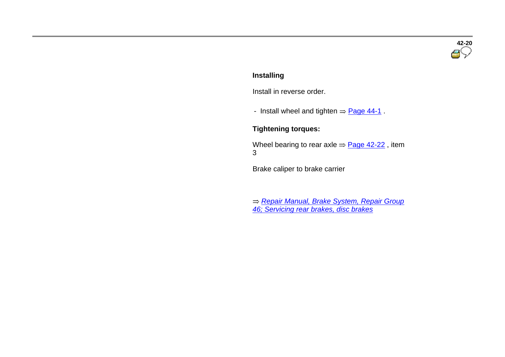# **42-20**

#### **Installing**

Install in reverse order.

- Install wheel and tighten  $\Rightarrow$  Page 44-1.

#### **Tightening torques:**

Wheel bearing to rear axle  $\Rightarrow$  Page 42-22, item 3

Brake caliper to brake carrier

*Repair Manual, Brake System, Repair Group 46; Servicing rear brakes, disc brakes*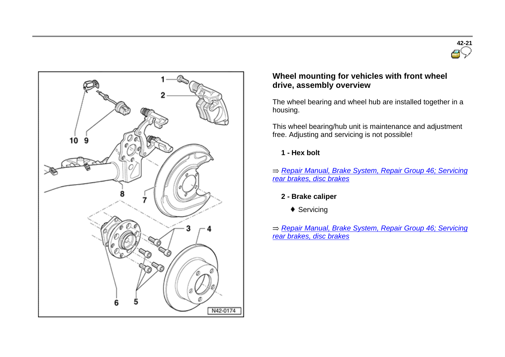



### **Wheel mounting for vehicles with front wheel drive, assembly overview**

The wheel bearing and wheel hub are installed together in a housing.

This wheel bearing/hub unit is maintenance and adjustment free. Adjusting and servicing is not possible!

#### **1 - Hex bolt**

*Repair Manual, Brake System, Repair Group 46; Servicing rear brakes, disc brakes*

## **2 - Brake caliper**

◆ Servicing

*Repair Manual, Brake System, Repair Group 46; Servicing rear brakes, disc brakes*